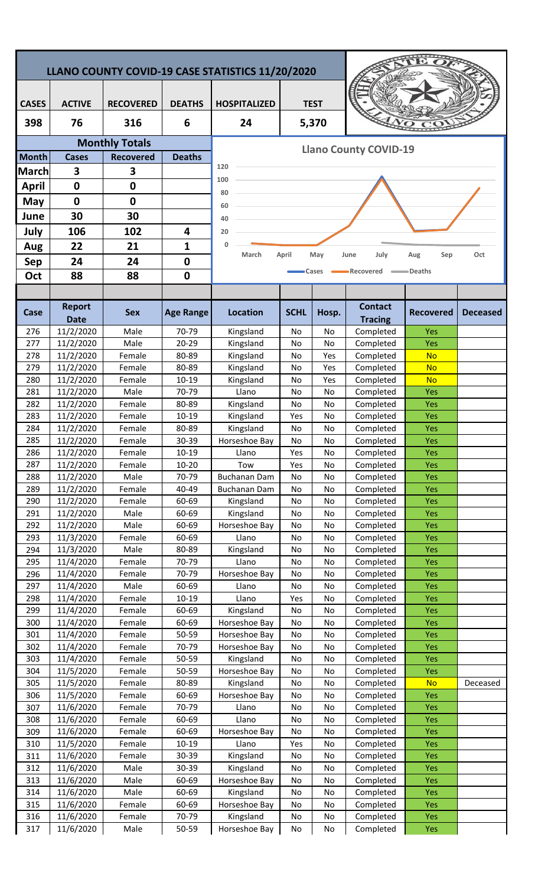| LLANO COUNTY COVID-19 CASE STATISTICS 11/20/2020 |                        |                       |                  |                                    |             |           |                              |                   |                 |  |  |
|--------------------------------------------------|------------------------|-----------------------|------------------|------------------------------------|-------------|-----------|------------------------------|-------------------|-----------------|--|--|
|                                                  |                        |                       |                  |                                    |             |           |                              |                   |                 |  |  |
| <b>CASES</b>                                     | <b>ACTIVE</b>          | <b>RECOVERED</b>      | <b>DEATHS</b>    | <b>TEST</b><br><b>HOSPITALIZED</b> |             |           |                              |                   |                 |  |  |
| 398                                              | 76                     | 316                   | 6                | 24                                 |             | 5,370     |                              |                   |                 |  |  |
|                                                  |                        | <b>Monthly Totals</b> |                  |                                    |             |           | <b>Llano County COVID-19</b> |                   |                 |  |  |
| <b>Month</b>                                     | <b>Cases</b>           | <b>Recovered</b>      | <b>Deaths</b>    |                                    |             |           |                              |                   |                 |  |  |
| <b>March</b>                                     | 3                      | 3                     |                  | 120                                |             |           |                              |                   |                 |  |  |
| <b>April</b>                                     | $\mathbf 0$            | $\mathbf 0$           |                  | 100                                |             |           |                              |                   |                 |  |  |
| May                                              | $\mathbf 0$            | 0                     |                  | 80                                 |             |           |                              |                   |                 |  |  |
| June                                             | 30                     | 30                    |                  | 60<br>40                           |             |           |                              |                   |                 |  |  |
| July                                             | 106                    | 102                   | 4                | 20                                 |             |           |                              |                   |                 |  |  |
| Aug                                              | 22                     | 21                    | 1                | 0                                  |             |           |                              |                   |                 |  |  |
| <b>Sep</b>                                       | 24                     | 24                    | 0                | March                              | April       | May       | July<br>June                 | Sep<br>Aug        | Oct             |  |  |
| Oct                                              | 88                     | 88                    | $\mathbf 0$      |                                    |             | Cases     | Recovered                    | =Deaths           |                 |  |  |
|                                                  |                        |                       |                  |                                    |             |           |                              |                   |                 |  |  |
|                                                  | <b>Report</b>          |                       |                  |                                    |             |           | <b>Contact</b>               |                   |                 |  |  |
| Case                                             | <b>Date</b>            | <b>Sex</b>            | <b>Age Range</b> | <b>Location</b>                    | <b>SCHL</b> | Hosp.     | <b>Tracing</b>               | <b>Recovered</b>  | <b>Deceased</b> |  |  |
| 276                                              | 11/2/2020              | Male                  | 70-79            | Kingsland                          | No          | No        | Completed                    | Yes               |                 |  |  |
| 277                                              | 11/2/2020              | Male                  | $20 - 29$        | Kingsland                          | No          | No        | Completed                    | Yes               |                 |  |  |
| 278                                              | 11/2/2020              | Female                | 80-89            | Kingsland                          | No          | Yes       | Completed                    | <b>No</b>         |                 |  |  |
| 279                                              | 11/2/2020              | Female                | 80-89            | Kingsland                          | No          | Yes       | Completed                    | <b>No</b>         |                 |  |  |
| 280<br>281                                       | 11/2/2020<br>11/2/2020 | Female<br>Male        | 10-19<br>70-79   | Kingsland<br>Llano                 | No<br>No    | Yes<br>No | Completed<br>Completed       | <b>No</b><br>Yes  |                 |  |  |
| 282                                              | 11/2/2020              | Female                | 80-89            | Kingsland                          | No          | No        | Completed                    | Yes               |                 |  |  |
| 283                                              | 11/2/2020              | Female                | 10-19            | Kingsland                          | Yes         | No        | Completed                    | Yes               |                 |  |  |
| 284                                              | 11/2/2020              | Female                | 80-89            | Kingsland                          | No          | No        | Completed                    | Yes               |                 |  |  |
| 285                                              | 11/2/2020              | Female                | 30-39            | Horseshoe Bay                      | No          | No        | Completed                    | Yes               |                 |  |  |
| 286                                              | 11/2/2020              | Female                | $10 - 19$        | Llano                              | Yes         | No        | Completed                    | Yes               |                 |  |  |
| 287                                              | 11/2/2020              | Female                | $10 - 20$        | Tow                                | Yes         | No        | Completed                    | <b>Yes</b>        |                 |  |  |
| 288<br>289                                       | 11/2/2020<br>11/2/2020 | Male<br>Female        | 70-79<br>40-49   | Buchanan Dam<br>Buchanan Dam       | No<br>No    | No<br>No  | Completed<br>Completed       | <b>Yes</b><br>Yes |                 |  |  |
| 290                                              | 11/2/2020              | Female                | 60-69            | Kingsland                          | No          | No        | Completed                    | <b>Yes</b>        |                 |  |  |
| 291                                              | 11/2/2020              | Male                  | 60-69            | Kingsland                          | No          | No        | Completed                    | <b>Yes</b>        |                 |  |  |
| 292                                              | 11/2/2020              | Male                  | 60-69            | Horseshoe Bay                      | No          | No        | Completed                    | <b>Yes</b>        |                 |  |  |
| 293                                              | 11/3/2020              | Female                | 60-69            | Llano                              | No          | No        | Completed                    | <b>Yes</b>        |                 |  |  |
| 294                                              | 11/3/2020              | Male                  | 80-89            | Kingsland                          | No          | No        | Completed                    | <b>Yes</b>        |                 |  |  |
| 295<br>296                                       | 11/4/2020<br>11/4/2020 | Female<br>Female      | 70-79<br>70-79   | Llano<br>Horseshoe Bay             | No<br>No    | No<br>No  | Completed<br>Completed       | Yes<br>Yes        |                 |  |  |
| 297                                              | 11/4/2020              | Male                  | 60-69            | Llano                              | No          | No        | Completed                    | <b>Yes</b>        |                 |  |  |
| 298                                              | 11/4/2020              | Female                | $10 - 19$        | Llano                              | Yes         | No        | Completed                    | <b>Yes</b>        |                 |  |  |
| 299                                              | 11/4/2020              | Female                | 60-69            | Kingsland                          | No          | No        | Completed                    | <b>Yes</b>        |                 |  |  |
| 300                                              | 11/4/2020              | Female                | 60-69            | Horseshoe Bay                      | No          | No        | Completed                    | <b>Yes</b>        |                 |  |  |
| 301                                              | 11/4/2020              | Female                | 50-59            | Horseshoe Bay                      | No          | No        | Completed                    | <b>Yes</b>        |                 |  |  |
| 302<br>303                                       | 11/4/2020<br>11/4/2020 | Female<br>Female      | 70-79<br>50-59   | Horseshoe Bay<br>Kingsland         | No<br>No    | No<br>No  | Completed<br>Completed       | <b>Yes</b><br>Yes |                 |  |  |
| 304                                              | 11/5/2020              | Female                | 50-59            | Horseshoe Bay                      | No          | No        | Completed                    | <b>Yes</b>        |                 |  |  |
| 305                                              | 11/5/2020              | Female                | 80-89            | Kingsland                          | No          | No        | Completed                    | <b>No</b>         | Deceased        |  |  |
| 306                                              | 11/5/2020              | Female                | 60-69            | Horseshoe Bay                      | No          | No        | Completed                    | Yes               |                 |  |  |
| 307                                              | 11/6/2020              | Female                | 70-79            | Llano                              | No          | No        | Completed                    | <b>Yes</b>        |                 |  |  |
| 308                                              | 11/6/2020              | Female                | 60-69            | Llano                              | No          | No        | Completed                    | <b>Yes</b>        |                 |  |  |
| 309<br>310                                       | 11/6/2020<br>11/5/2020 | Female<br>Female      | 60-69<br>10-19   | Horseshoe Bay<br>Llano             | No<br>Yes   | No<br>No  | Completed<br>Completed       | Yes<br><b>Yes</b> |                 |  |  |
| 311                                              | 11/6/2020              | Female                | 30-39            | Kingsland                          | No          | No        | Completed                    | <b>Yes</b>        |                 |  |  |
| 312                                              | 11/6/2020              | Male                  | 30-39            | Kingsland                          | No          | No        | Completed                    | <b>Yes</b>        |                 |  |  |
| 313                                              | 11/6/2020              | Male                  | 60-69            | Horseshoe Bay                      | No          | No        | Completed                    | <b>Yes</b>        |                 |  |  |
| 314                                              | 11/6/2020              | Male                  | 60-69            | Kingsland                          | No          | No        | Completed                    | <b>Yes</b>        |                 |  |  |
| 315                                              | 11/6/2020              | Female                | 60-69            | Horseshoe Bay                      | No          | No        | Completed                    | Yes               |                 |  |  |
| 316                                              | 11/6/2020              | Female                | 70-79<br>50-59   | Kingsland<br>Horseshoe Bay         | No<br>No    | No<br>No  | Completed<br>Completed       | Yes<br><b>Yes</b> |                 |  |  |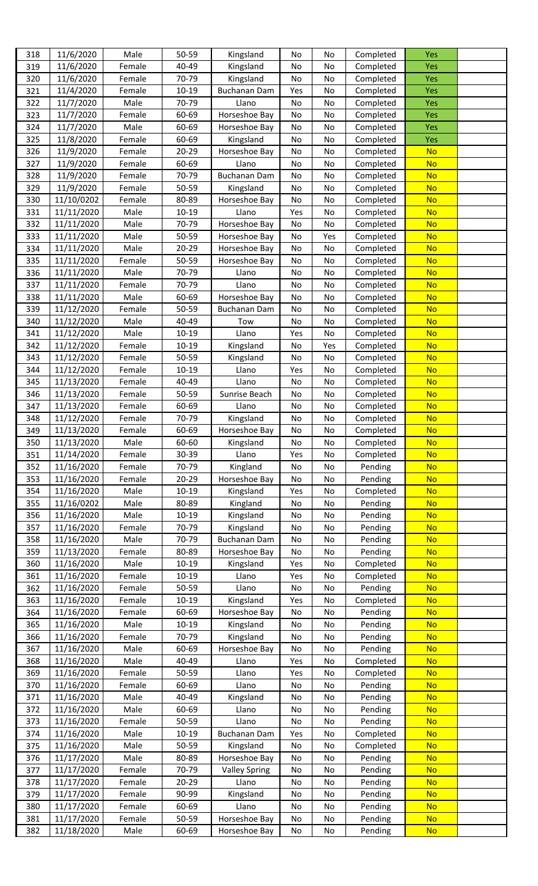| 318 | 11/6/2020  | Male   | 50-59     | Kingsland            | No  | No  | Completed | Yes        |  |
|-----|------------|--------|-----------|----------------------|-----|-----|-----------|------------|--|
| 319 | 11/6/2020  | Female | 40-49     | Kingsland            | No  | No  | Completed | Yes        |  |
| 320 | 11/6/2020  | Female | 70-79     | Kingsland            | No  | No  | Completed | <b>Yes</b> |  |
| 321 | 11/4/2020  | Female | $10 - 19$ | <b>Buchanan Dam</b>  | Yes | No  | Completed | Yes        |  |
|     |            |        |           |                      |     |     |           |            |  |
| 322 | 11/7/2020  | Male   | 70-79     | Llano                | No  | No  | Completed | Yes        |  |
| 323 | 11/7/2020  | Female | 60-69     | Horseshoe Bay        | No  | No  | Completed | Yes        |  |
| 324 | 11/7/2020  | Male   | 60-69     | Horseshoe Bay        | No  | No  | Completed | Yes        |  |
| 325 | 11/8/2020  | Female | 60-69     | Kingsland            | No  | No  | Completed | <b>Yes</b> |  |
| 326 | 11/9/2020  | Female | 20-29     | Horseshoe Bay        | No  | No  | Completed | <b>No</b>  |  |
| 327 | 11/9/2020  | Female | 60-69     | Llano                | No  | No  | Completed | <b>No</b>  |  |
| 328 | 11/9/2020  | Female | 70-79     | <b>Buchanan Dam</b>  | No  | No  | Completed | <b>No</b>  |  |
| 329 | 11/9/2020  | Female | 50-59     | Kingsland            | No  | No  | Completed | <b>No</b>  |  |
| 330 | 11/10/0202 | Female | 80-89     | Horseshoe Bay        | No  | No  | Completed | <b>No</b>  |  |
| 331 | 11/11/2020 | Male   | 10-19     | Llano                | Yes | No  | Completed | <b>No</b>  |  |
| 332 | 11/11/2020 | Male   | 70-79     | Horseshoe Bay        | No  | No  | Completed | <b>No</b>  |  |
|     |            | Male   | 50-59     |                      |     |     | Completed | <b>No</b>  |  |
| 333 | 11/11/2020 |        |           | Horseshoe Bay        | No  | Yes |           |            |  |
| 334 | 11/11/2020 | Male   | $20 - 29$ | Horseshoe Bay        | No  | No  | Completed | <b>No</b>  |  |
| 335 | 11/11/2020 | Female | 50-59     | Horseshoe Bay        | No  | No  | Completed | <b>No</b>  |  |
| 336 | 11/11/2020 | Male   | 70-79     | Llano                | No  | No  | Completed | <b>No</b>  |  |
| 337 | 11/11/2020 | Female | 70-79     | Llano                | No  | No  | Completed | <b>No</b>  |  |
| 338 | 11/11/2020 | Male   | 60-69     | Horseshoe Bay        | No  | No  | Completed | <b>No</b>  |  |
| 339 | 11/12/2020 | Female | 50-59     | <b>Buchanan Dam</b>  | No  | No  | Completed | <b>No</b>  |  |
| 340 | 11/12/2020 | Male   | 40-49     | Tow                  | No  | No  | Completed | <b>No</b>  |  |
| 341 | 11/12/2020 | Male   | $10 - 19$ | Llano                | Yes | No  | Completed | <b>No</b>  |  |
| 342 | 11/12/2020 | Female | $10 - 19$ | Kingsland            | No  | Yes | Completed | <b>No</b>  |  |
| 343 | 11/12/2020 | Female | 50-59     | Kingsland            | No  | No  | Completed | <b>No</b>  |  |
|     |            |        |           |                      |     |     |           |            |  |
| 344 | 11/12/2020 | Female | $10 - 19$ | Llano                | Yes | No  | Completed | <b>No</b>  |  |
| 345 | 11/13/2020 | Female | 40-49     | Llano                | No  | No  | Completed | <b>No</b>  |  |
| 346 | 11/13/2020 | Female | 50-59     | Sunrise Beach        | No  | No  | Completed | <b>No</b>  |  |
| 347 | 11/13/2020 | Female | 60-69     | Llano                | No  | No  | Completed | <b>No</b>  |  |
| 348 | 11/12/2020 | Female | 70-79     | Kingsland            | No  | No  | Completed | <b>No</b>  |  |
| 349 | 11/13/2020 | Female | 60-69     | Horseshoe Bay        | No  | No  | Completed | <b>No</b>  |  |
| 350 | 11/13/2020 | Male   | 60-60     | Kingsland            | Νo  | Νo  | Completed | <u>No</u>  |  |
| 351 | 11/14/2020 | Female | 30-39     | Llano                | Yes | No  | Completed | <b>No</b>  |  |
| 352 | 11/16/2020 | Female | 70-79     | Kingland             | No  | No  | Pending   | <b>No</b>  |  |
| 353 | 11/16/2020 | Female | 20-29     | Horseshoe Bay        | No  | No  | Pending   | <b>No</b>  |  |
| 354 | 11/16/2020 | Male   | $10 - 19$ | Kingsland            | Yes | No  | Completed | <b>No</b>  |  |
| 355 | 11/16/0202 | Male   | 80-89     | Kingland             | No  | No  | Pending   | <b>No</b>  |  |
|     |            | Male   |           |                      |     |     |           | <b>No</b>  |  |
| 356 | 11/16/2020 |        | 10-19     | Kingsland            | No  | No  | Pending   |            |  |
| 357 | 11/16/2020 | Female | 70-79     | Kingsland            | No  | No  | Pending   | <b>No</b>  |  |
| 358 | 11/16/2020 | Male   | 70-79     | <b>Buchanan Dam</b>  | No  | No  | Pending   | <b>No</b>  |  |
| 359 | 11/13/2020 | Female | 80-89     | Horseshoe Bay        | No  | No  | Pending   | <b>No</b>  |  |
| 360 | 11/16/2020 | Male   | 10-19     | Kingsland            | Yes | No  | Completed | <b>No</b>  |  |
| 361 | 11/16/2020 | Female | 10-19     | Llano                | Yes | No  | Completed | <b>No</b>  |  |
| 362 | 11/16/2020 | Female | 50-59     | Llano                | No  | No  | Pending   | <b>No</b>  |  |
| 363 | 11/16/2020 | Female | 10-19     | Kingsland            | Yes | No  | Completed | <b>No</b>  |  |
| 364 | 11/16/2020 | Female | 60-69     | Horseshoe Bay        | No  | No  | Pending   | <b>No</b>  |  |
| 365 | 11/16/2020 | Male   | $10-19$   | Kingsland            | No  | No  | Pending   | <b>No</b>  |  |
| 366 | 11/16/2020 | Female | 70-79     | Kingsland            | No  | No  | Pending   | <b>No</b>  |  |
| 367 | 11/16/2020 | Male   | 60-69     | Horseshoe Bay        | No  | No  | Pending   | <b>No</b>  |  |
| 368 | 11/16/2020 | Male   | 40-49     | Llano                | Yes | No  | Completed | <b>No</b>  |  |
|     |            |        |           |                      |     |     |           |            |  |
| 369 | 11/16/2020 | Female | 50-59     | Llano                | Yes | No  | Completed | <b>No</b>  |  |
| 370 | 11/16/2020 | Female | 60-69     | Llano                | No  | No  | Pending   | <b>No</b>  |  |
| 371 | 11/16/2020 | Male   | 40-49     | Kingsland            | No  | No  | Pending   | <b>No</b>  |  |
| 372 | 11/16/2020 | Male   | 60-69     | Llano                | No  | No  | Pending   | <b>No</b>  |  |
| 373 | 11/16/2020 | Female | 50-59     | Llano                | No  | No  | Pending   | <b>No</b>  |  |
| 374 | 11/16/2020 | Male   | $10 - 19$ | <b>Buchanan Dam</b>  | Yes | No  | Completed | <b>No</b>  |  |
| 375 | 11/16/2020 | Male   | 50-59     | Kingsland            | No  | No  | Completed | <b>No</b>  |  |
| 376 | 11/17/2020 | Male   | 80-89     | Horseshoe Bay        | No  | No  | Pending   | <b>No</b>  |  |
| 377 | 11/17/2020 | Female | 70-79     | <b>Valley Spring</b> | No  | No  | Pending   | <b>No</b>  |  |
| 378 | 11/17/2020 | Female | $20 - 29$ | Llano                | No  | No  | Pending   | <b>No</b>  |  |
| 379 | 11/17/2020 | Female | 90-99     | Kingsland            | No  | No  | Pending   | <b>No</b>  |  |
| 380 | 11/17/2020 | Female | 60-69     | Llano                | No  | No  | Pending   | <b>No</b>  |  |
|     |            |        |           |                      |     |     |           |            |  |
| 381 | 11/17/2020 | Female | 50-59     | Horseshoe Bay        | No  | No  | Pending   | <b>No</b>  |  |
| 382 | 11/18/2020 | Male   | 60-69     | Horseshoe Bay        | No  | No  | Pending   | <b>No</b>  |  |